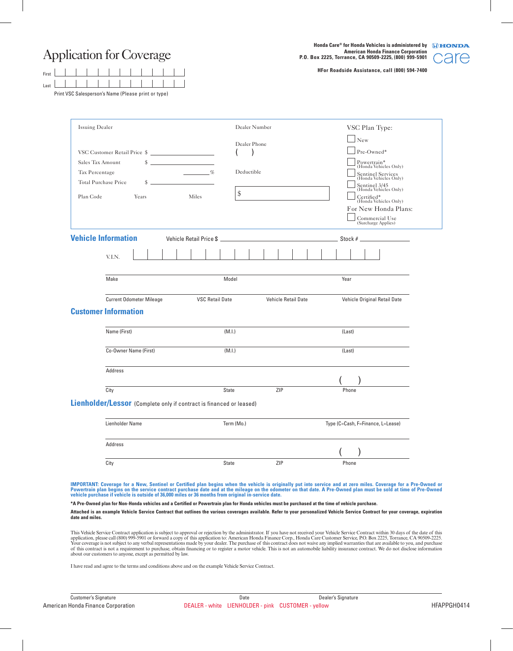Application for Coverage

 $\Box$  $\overline{\phantom{a}}$ 

 $\overline{\phantom{a}}$ 

Print VSC Salesperson's Name (Please print or type)

 $\overline{\phantom{a}}$ 

Last First

 $\overline{\phantom{a}}$ 

 $\blacksquare$ 

**Honda Care® for Honda Vehicles is administered by American Honda Finance Corporation P.O. Box 2225, Torrance, CA 90509-2225, (800) 999-5901**



**HFor Roadside Assistance, call (800) 594-7400**

| Issuing Dealer               |                                                                                                                                                   |                         | Dealer Number |                            |                                   | VSC Plan Type:                                                                                                                                                                                                                                                                                                                                                                        |  |
|------------------------------|---------------------------------------------------------------------------------------------------------------------------------------------------|-------------------------|---------------|----------------------------|-----------------------------------|---------------------------------------------------------------------------------------------------------------------------------------------------------------------------------------------------------------------------------------------------------------------------------------------------------------------------------------------------------------------------------------|--|
|                              |                                                                                                                                                   |                         |               |                            |                                   | New                                                                                                                                                                                                                                                                                                                                                                                   |  |
| VSC Customer Retail Price \$ |                                                                                                                                                   |                         | Dealer Phone  |                            |                                   | Pre-Owned*                                                                                                                                                                                                                                                                                                                                                                            |  |
| \$<br>Sales Tax Amount       |                                                                                                                                                   |                         |               |                            |                                   | Powertrain*<br>(Honda Vehicles Only)                                                                                                                                                                                                                                                                                                                                                  |  |
| Tax Percentage               |                                                                                                                                                   |                         | Deductible    |                            |                                   | Sentinel Services<br>(Honda Vehicles Only)                                                                                                                                                                                                                                                                                                                                            |  |
|                              | Total Purchase Price<br>\$                                                                                                                        |                         |               |                            |                                   | Sentinel 3/45<br>(Honda Vehicles Only)                                                                                                                                                                                                                                                                                                                                                |  |
| Plan Code                    | Years                                                                                                                                             | Miles                   | $\,$          |                            |                                   | Certified*<br>(Honda Vehicles Only)                                                                                                                                                                                                                                                                                                                                                   |  |
|                              |                                                                                                                                                   |                         |               |                            |                                   | For New Honda Plans:                                                                                                                                                                                                                                                                                                                                                                  |  |
|                              |                                                                                                                                                   |                         |               |                            |                                   | Commercial Use<br>(Surcharge Applies)                                                                                                                                                                                                                                                                                                                                                 |  |
|                              | <b>Vehicle Information</b>                                                                                                                        |                         |               |                            |                                   |                                                                                                                                                                                                                                                                                                                                                                                       |  |
|                              |                                                                                                                                                   | Vehicle Retail Price \$ |               |                            |                                   | Stock # $\frac{2}{\sqrt{2}}$                                                                                                                                                                                                                                                                                                                                                          |  |
|                              | V.I.N.                                                                                                                                            |                         |               |                            |                                   |                                                                                                                                                                                                                                                                                                                                                                                       |  |
|                              | Make                                                                                                                                              |                         | Model         |                            | Year                              |                                                                                                                                                                                                                                                                                                                                                                                       |  |
|                              | <b>Current Odometer Mileage</b>                                                                                                                   | <b>VSC Retail Date</b>  |               | <b>Vehicle Retail Date</b> |                                   | Vehicle Original Retail Date                                                                                                                                                                                                                                                                                                                                                          |  |
|                              | <b>Customer Information</b>                                                                                                                       |                         |               |                            |                                   |                                                                                                                                                                                                                                                                                                                                                                                       |  |
|                              |                                                                                                                                                   |                         |               |                            |                                   |                                                                                                                                                                                                                                                                                                                                                                                       |  |
|                              | Name (First)                                                                                                                                      |                         | (M.I.)        |                            | (Last)                            |                                                                                                                                                                                                                                                                                                                                                                                       |  |
|                              | Co-Owner Name (First)                                                                                                                             |                         | (M.I.)        |                            | (Last)                            |                                                                                                                                                                                                                                                                                                                                                                                       |  |
|                              | Address                                                                                                                                           |                         |               |                            |                                   |                                                                                                                                                                                                                                                                                                                                                                                       |  |
|                              |                                                                                                                                                   |                         |               |                            |                                   |                                                                                                                                                                                                                                                                                                                                                                                       |  |
|                              | City                                                                                                                                              |                         | <b>State</b>  | ZIP                        | Phone                             |                                                                                                                                                                                                                                                                                                                                                                                       |  |
|                              | Lienholder/Lessor (Complete only if contract is financed or leased)                                                                               |                         |               |                            |                                   |                                                                                                                                                                                                                                                                                                                                                                                       |  |
|                              | Lienholder Name                                                                                                                                   |                         | Term (Mo.)    |                            | Type (C=Cash, F=Finance, L=Lease) |                                                                                                                                                                                                                                                                                                                                                                                       |  |
|                              | Address                                                                                                                                           |                         |               |                            | $\sqrt{ }$                        | $\sqrt{2}$                                                                                                                                                                                                                                                                                                                                                                            |  |
|                              | City                                                                                                                                              |                         | <b>State</b>  | ZIP                        | Phone                             |                                                                                                                                                                                                                                                                                                                                                                                       |  |
|                              |                                                                                                                                                   |                         |               |                            |                                   |                                                                                                                                                                                                                                                                                                                                                                                       |  |
|                              | vehicle purchase if vehicle is outside of 36,000 miles or 36 months from original in-service date.                                                |                         |               |                            |                                   | IMPORTANT: Coverage for a New, Sentinel or Certified plan begins when the vehicle is originally put into service and at zero miles. Coverage for a Pre-Owned or<br>Powertrain plan begins on the service contract purchase date and at the mileage on the odometer on that date. A Pre-Owned plan must be sold at time of Pre-Owned                                                   |  |
|                              | *A Pre-Owned plan for Non-Honda vehicles and a Certified or Powertrain plan for Honda vehicles must be purchased at the time of vehicle purchase. |                         |               |                            |                                   |                                                                                                                                                                                                                                                                                                                                                                                       |  |
| date and miles.              |                                                                                                                                                   |                         |               |                            |                                   | Attached is an example Vehicle Service Contract that outlines the various coverages available. Refer to your personalized Vehicle Service Contract for your coverage, expiration                                                                                                                                                                                                      |  |
|                              |                                                                                                                                                   |                         |               |                            |                                   | This Vehicle Service Contract application is subject to approval or rejection by the administrator. If you have not received your Vehicle Service Contract within 30 days of the date of this<br>application, please call (800) 999-5901 or forward a copy of this application to: American Honda Finance Corp., Honda Care Customer Service, P.O. Box 2225, Torrance, CA 90509-2225. |  |

I have read and agree to the terms and conditions above and on the example Vehicle Service Contract.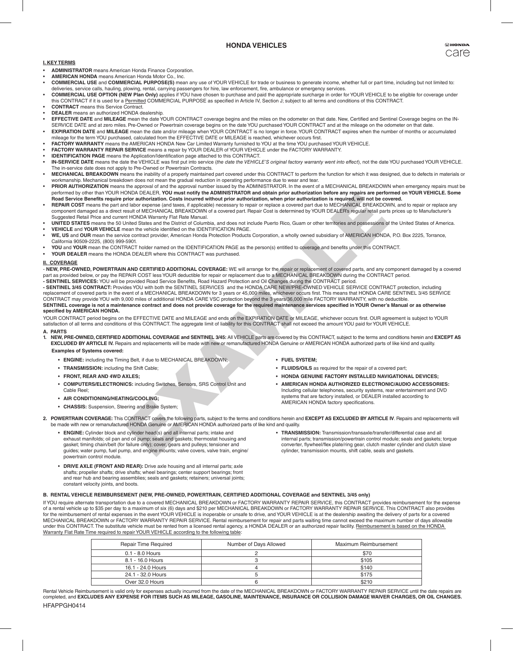# **HONDA VEHICLES**

## **I. KEY TERMS**

- **ADMINISTRATOR** means American Honda Finance Corporation.
- **AMERICAN HONDA** means American Honda Motor Co., Inc.
- **COMMERCIAL USE** and **COMMERCIAL PURPOSE(S)** mean any use of YOUR VEHICLE for trade or business to generate income, whether full or part time, including but not limited to: deliveries, service calls, hauling, plowing, rental, carrying passengers for hire, law enforcement, fire, ambulance or emergency services.
- **COMMERCIAL USE OPTION (NEW Plan Only)** applies if YOU have chosen to purchase and paid the appropriate surcharge in order for YOUR VEHICLE to be eligible for coverage under this CONTRACT if it is used for a Permitted COMMERCIAL PURPOSE as specified in Article IV, Section J; subject to all terms and conditions of this CONTRACT.
- **CONTRACT** means this Service Contract. **DEALER** means an authorized HONDA dealership.
- EFFECTIVE DATE and MILEAGE mean the date YOUR CONTRACT coverage begins and the miles on the odometer on that date. New, Certified and Sentinel Coverage begins on the IN-
- SERVICE DATE and at zero miles. Pre-Owned or Powertrain coverage begins on the date YOU purchased YOUR CONTRACT and at the mileage on the odometer on that date. **EXPIRATION DATE** and MILEAGE mean the date and/or mileage when YOUR CONTRACT is no longer in force. YOUR CONTRACT expires when the number of months or accumulated
- mileage for the term YOU purchased, calculated from the EFFECTIVE DATE or MILEAGE is reached, whichever occurs first. **FACTORY WARRANTY** means the AMERICAN HONDA New Car Limited Warranty furnished to YOU at the time YOU purchased YOUR VEHICLE.
- **FACTORY WARRANTY REPAIR SERVICE** means a repair by YOUR DEALER of YOUR VEHICLE under the FACTORY WARRANTY.
- **IDENTIFICATION PAGE** means the Application/Identification page attached to this CONTRACT.
- IN-SERVICE DATE means the date the VEHICLE was first put into service (the date the VEHICLE'S original factory warranty went into effect), not the date YOU purchased YOUR VEHICLE. The in-service date does not apply to Pre-Owned or Powertrain Contracts.
- **MECHANICAL BREAKDOWN** means the inability of a properly maintained part covered under this CONTRACT to perform the function for which it was designed, due to defects in materials or
- workmanship. Mechanical breakdown does not mean the gradual reduction in operating performance due to wear and tear.<br>• PRIOR AUTHORIZATION means the approval of and the approval number issued by the ADMINISTRATOR. In the e performed by other than YOUR HONDA DEALER, **YOU must notify the ADMINISTRATOR and obtain prior authorization before any repairs are performed on YOUR VEHICLE. Some**
- Road Service Benefits require prior authorization. Costs incurred without prior authorization, when prior authorization is required, will not be covered.<br>REPAIR COST means the part and labor expense (and taxes, if applicab component damaged as a direct result of MECHANICAL BREAKDOWN of a covered part. Repair Cost is determined by YOUR DEALER's regular retail parts prices up to Manufacturer's Suggested Retail Price and current HONDA Warranty Flat Rate Manual.
- UNITED STATES means the 50 United States and the District of Columbia, and does not include Puerto Rico, Guam or other territories and possessions of the United States of America. **VEHICLE** and YOUR VEHICLE mean the vehicle identified on the IDENTIFICATION PAGE.
- WE, US and OUR mean the service contract provider, American Honda Protection Products Corporation, a wholly owned subsidiary of AMERICAN HONDA, P.O. Box 2225, Torrance, California 90509-2225, (800) 999-5901.
- YOU and YOUR mean the CONTRACT holder named on the IDENTIFICATION PAGE as the person(s) entitled to coverage and benefits under this CONTRACT.
- YOUR DEALER means the HONDA DEALER where this CONTRACT was purchased.

#### **II. COVERAGE**

- NEW, PRE-OWNED, POWERTRAIN AND CERTIFIED ADDITIONAL COVERAGE: WE will arrange for the repair or replacement of covered parts, and any component damaged by a covered part as provided below, or pay the REPAIR COST less YOUR deductible for repair or replacement due to a MECHANICAL BREAKDOWN during the CONTRACT period.

Under the MONTIFIC of the Montest HATO (Which and obtained the CoNTROL) and the most and the MONDA Unit and Exact the MONDA Unit and Exact the MONDA Unit and Exact the MONDA Unit and Exact the MONDA Unit and HATO (WHICH AN **- SENTINEL SERVICES:** YOU will be provided Road Service Benefits, Road Hazard Protection and Oil Changes during the CONTRACT period.<br>**- SENTINEL 3/45 CONTRACT:** Provides YOU with both the SENTINEL SERVICES and the HONDA replacement of covered parts in the event of a MECHANICAL BREAKDOWN for 3 years or 45,000 miles, whichever occurs first. This means that HONDA CARE SENTINEL 3/45 SERVICE CONTRACT may provide YOU with 9,000 miles of additional HONDA CARE VSC protection beyond the 3 years/36,000 mile FACTORY WARRANTY, with no deductible. **SENTINEL coverage is not a maintenance contract and does not provide coverage for the required maintenance services specified in YOUR Owner's Manual or as otherwise specified by AMERICAN HONDA.**

YOUR CONTRACT period begins on the EFFECTIVE DATE and MILEAGE and ends on the EXPIRATION DATE or MILEAGE, whichever occurs first. OUR agreement is subject to YOUR<br>satisfaction of all terms and conditions of this CONTRACT.

## **A. PARTS**

- 1. NEW, PRE-OWNED, CERTIFIED ADDITIONAL COVERAGE and SENTINEL 3/45: All VEHICLE parts are covered by this CONTRACT, subject to the terms and conditions herein and EXCEPT AS<br>EXCLUDED BY ARTICLE IV. Repairs and replacements **Examples of Systems covered:**
	-
	- • **ENGINE:** including the Timing Belt, if due to MECHANICAL BREAKDOWN;
	- • **TRANSMISSION:** including the Shift Cable;
	- • **FRONT, REAR AND 4WD AXLES;**
	- • **COMPUTERS/ELECTRONICS:** including Switches, Sensors, SRS Control Unit and Cable Ree
	- • **AIR CONDITIONING/HEATING/COOLING;**
	- • **CHASSIS:** Suspension, Steering and Brake System;

#### • **FUEL SYSTEM;**

- • **FLUIDS/OILS** as required for the repair of a covered part;
- • **HONDA GENUINE FACTORY INSTALLED NAVIGATIONAL DEVICES;**
- • **AMERICAN HONDA AUTHORIZED ELECTRONIC/AUDIO ACCESSORIES:** Including cellular telephones, security systems, rear entertainment and DVD systems that are factory installed, or DEALER installed according to AMERICAN HONDA factory specifications.

2. POWERTRAIN COVERAGE: This CONTRACT covers the following parts, subject to the terms and conditions herein and EXCEPT AS EXCLUDED BY ARTICLE IV. Repairs and replacements will<br>be made with new or remanufactured HONDA Genu

- • **ENGINE:** Cylinder block and cylinder head(s) and all internal parts; intake and exhaust manifolds; oil pan and oil pump; seals and gaskets; thermostat housing and gasket; timing chain/belt (for failure only); cover, gears and pulleys; tensioner and guides; water pump, fuel pump, and engine mounts; valve covers, valve train, engine/ powertrain control module.
- • **DRIVE AXLE (FRONT AND REAR):** Drive axle housing and all internal parts; axle shafts; propeller shafts; drive shafts; wheel bearings; center support bearings; front and rear hub and bearing assemblies; seals and gaskets; retainers; universal joints; constant velocity joints, and boots.

# **B. RENTAL VEHICLE REIMBURSEMENT (NEW, PRE-OWNED, POWERTRAIN, CERTIFIED ADDITIONAL COVERAGE and SENTINEL 3/45 only)**

If YOU require alternate transportation due to a covered MECHANICAL BREAKDOWN or FACTORY WARRANTY REPAIR SERVICE, this CONTRACT provides reimbursement for the expense of a rental vehicle up to \$35 per day to a maximum of six (6) days and \$210 per MECHANICAL BREAKDOWN or FACTORY WARRANTY REPAIR SERVICE. This CONTRACT also provides for the reimbursement of rental expenses in the event YOUR VEHICLE is inoperable or unsafe to drive, and YOUR VEHICLE is at the dealership awaiting the delivery of parts for a covered MECHANICAL BREAKDOWN or FACTORY WARRANTY REPAIR SERVICE. Rental reimbursement for repair and parts waiting time cannot exceed the maximum number of days allowable under this CONTRACT. The substitute vehicle must be rented from a licensed rental agency, a HONDA DEALER or an authorized repair facility. Reimbursement is based on the HONDA Warranty Flat Rate Time required to repair YOUR VEHICLE according to the following table :

| <b>Repair Time Required</b> | Number of Days Allowed | Maximum Reimbursement |  |
|-----------------------------|------------------------|-----------------------|--|
| $0.1 - 8.0$ Hours           |                        | \$70                  |  |
| 8.1 - 16.0 Hours            |                        | \$105                 |  |
| 16.1 - 24.0 Hours           |                        | \$140                 |  |
| 24.1 - 32.0 Hours           |                        | \$175                 |  |
| Over 32.0 Hours             |                        | \$210                 |  |

Rental Vehicle Reimbursement is valid only for expenses actually incurred from the date of the MECHANICAL BREAKDOWN or FACTORY WARRANTY REPAIR SERVICE until the date repairs are completed, and **EXCLUDES ANY EXPENSE FOR ITEMS SUCH AS MILEAGE, GASOLINE, MAINTENANCE, INSURANCE OR COLLISION DAMAGE WAIVER CHARGES, OR OIL CHANGES.** HFAPPGH0414

## • **TRANSMISSION:** Transmission/transaxle/transfer/differential case and all internal parts; transmission/powertrain control module; seals and gaskets; torque converter, flywheel/flex plate/ring gear, clutch master cylinder and clutch slave cylinder, transmission mounts, shift cable, seals and gaskets.

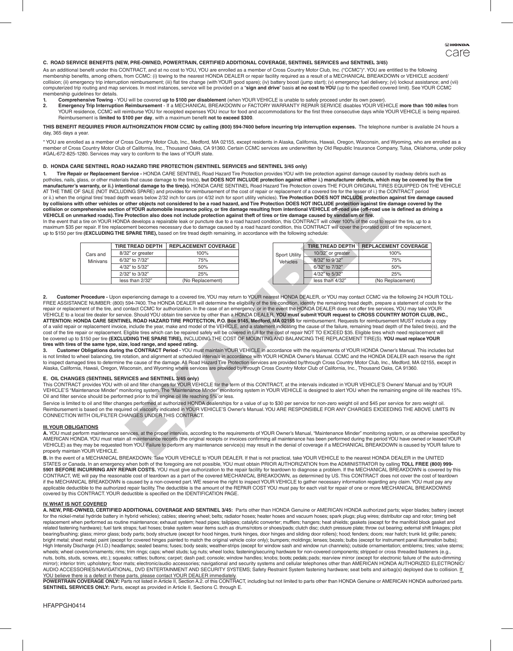### **C. ROAD SERVICE BENEFITS (NEW, PRE-OWNED, POWERTRAIN, CERTIFIED ADDITIONAL COVERAGE, SENTINEL SERVICES and SENTINEL 3/45)**

As an additional benefit under this CONTRACT, and at no cost to YOU, YOU are enrolled as a member of Cross Country Motor Club, Inc. ("CCMC")\*. YOU are entitled to the following membership benefits, among others, from CCMC: (i) towing to the nearest HONDA DEALER or repair facility required as a result of a MECHANICAL BREAKDOWN or VEHICLE accident/ collision; (ii) emergency trip interruption reimbursement; (iii) flat tire change (with YOUR good spare); (iv) battery boost (jump start); (v) emergency fuel delivery; (vi) lockout assistance; and (vii) computerized trip routing and map services. In most instances, service will be provided on a "**sign and drive**" basis **at no cost to YOU** (up to the specified covered limit). See YOUR CCMC membership quidelines for details.

- **1. Comprehensive Towing**  YOU will be covered **up to \$100 per disablement** (when YOUR VEHICLE is unable to safely proceed under its own power).
- **2. Emergency Trip Interruption Reimbursement** If a MECHANICAL BREAKDOWN or FACTORY WARRANTY REPAIR SERVICE disables YOUR VEHICLE **more than 100 miles** from YOUR residence, CCMC will reimburse YOU for receipted expenses YOU incur for food and accommodations for the first three consecutive days while YOUR VEHICLE is being repaired.<br>Reimbursement is **limited to \$100 per day**, wi

## **THIS BENEFIT REQUIRES PRIOR AUTHORIZATION FROM CCMC by calling (800) 594-7400 before incurring trip interruption expenses.** The telephone number is available 24 hours a day, 365 days a year.

\* YOU are enrolled as a member of Cross Country Motor Club, Inc., Medford, MA 02155, except residents in Alaska, California, Hawaii, Oregon, Wisconsin, and Wyoming, who are enrolled as a<br>member of Cross Country Motor Club #GAL-672-825-1280. Services may vary to conform to the laws of YOUR state.

## **D. HONDA CARE SENTINEL ROAD HAZARD TIRE PROTECTION (SENTINEL SERVICES and SENTINEL 3/45 only)**

**1. Tire Repair or Replacement Service -** HONDA CARE SENTINEL Road Hazard Tire Protection provides YOU with tire protection against damage caused by roadway debris such as potholes, nails, glass, or other materials that cause damage to the tire(s), but DOES NOT INCLUDE protection against either i.) manufacturer defects, which may be covered by the tire **manufacturer's warranty, or ii.) intentional damage to the tire(s).** HONDA CARE SENTINEL Road Hazard Tire Protection covers THE FOUR ORIGINAL TIRES EQUIPPED ON THE VEHICLE<br>AT THE TIME OF SALE (NOT INCLUDING SPARE) and pro or ii.) when the original tires' tread depth wears below 2/32 inch for cars (or 4/32 inch for sport utility vehicles). **Tire Protection DOES NOT INCLUDE protection against tire damage caused**  by collisions with other vehicles or other objects not considered to be a road hazard, and Tire Protection DOES NOT INCLUDE protection against tire damage covered by the<br>collision or comprehensive section of YOUR automobil

In the event that a tire on YOUR HONDA develops a repairable leak or puncture due to a road hazard condition, this CONTRACT will cover 100% of the cost to repair the tire, up to a maximum \$35 per repair. If tire replacement becomes necessary due to damage caused by a road hazard condition, this CONTRACT will cover the prorated cost of tire replacement, up to \$150 per tire **(EXCLUDING THE SPARE TIRE),** based on tire tread depth remaining, in accordance with the following schedule:

| Cars and        | <b>TIRE TREAD DEPTH</b> | <b>REPLACEMENT COVERAGE</b> |                      | <b>TIRE TREAD DEPTH</b> | <b>REPLACEMENT COVERAGE</b> |
|-----------------|-------------------------|-----------------------------|----------------------|-------------------------|-----------------------------|
|                 | 8/32" or greater        | 100%                        | <b>Sport Utility</b> | 10/32" or greater       | 100%                        |
| <b>Minivans</b> | 6/32" to 7/32"          | 75%                         | <b>Vehicles</b>      | 8/32" to 9/32"          | 75%                         |
|                 | 4/32" to 5/32"          | 50%                         |                      | 6/32" to 7/32"          | 50%                         |
|                 | 2/32" to 3/32"          | 25%                         |                      | 4/32" to 5/32"          | 25%                         |
|                 | less than 2/32"         | (No Replacement)            |                      | less than 4/32"         | (No Replacement)            |

The worse best and the case of the case of the case of the case of the case of the case of the case of the case of the case of the case of the case of the case of the case of the case of the case of the case of the case of 2. Customer Procedure - Upon experiencing damage to a covered tire, YOU may return to YOUR nearest HONDA DEALER, or YOU may contact CCMC via the following 24 HOUR TOLL-<br>FREE ASSISTANCE NUMBER: (800) 594-7400. The HONDA DEA **ATTENTION: HONDA CARE SENTINEL ROAD HAZARD TIRE PROTECTION, P.O. Box 9145, Medford, MA 02155** for reimbursement. Requests for reimbursement MUST include a copy of a valid repair or replacement invoice, include the year, make and model of the VEHICLE, and a statement indicating the cause of the failure, remaining tread depth of the failed tire(s), and the<br>cost of the tire repair o

**tires with tires of the same type, size, load range, and speed rating.**<br>3. Customer Obligations during the CONTRACT Period - YOU must maintain YOUR VEHICLE in accordance with the requirements of YOUR HONDA Owner's Manual. to inspect damaged tires to determine the cause of the damage. All Road Hazard Tire Protection services are provided by/through Cross Country Motor Club, Inc., Medford, MA 02155, except in Alaska, California, Hawaii, Oregon, Wisconsin, and Wyoming where services are provided by/through Cross Country Motor Club of California, Inc., Thousand Oaks, CA 91360.

# **E. OIL CHANGES (SENTINEL SERVICES and SENTINEL 3/45 only)**

This CONTRACT provides YOU with oil and filter changes for YOUR VEHICLE for the term of this CONTRACT, at the intervals indicated in YOUR VEHICLE'S Owners' Manual and by YOUR VEHICLE'S "Maintenance Minder" monitoring system. The "Maintenance Minder" monitoring system in YOUR VEHICLE is designed to alert YOU when the remaining engine oil life reaches 15%. Oil and filter service should be performed prior to the engine oil life reaching 5% or less.

Service is limited to oil and filter changes performed at authorized HONDA dealerships for a value of up to \$30 per service for non-zero weight oil and \$45 per service for zero weight oil.<br>Reimbursement is based on the req

### **III. YOUR OBLIGATIONS**

**A.** YOU must perform maintenance services, at the proper intervals, according to the requirements of YOUR Owner's Manual, "Maintenance Minder" monitoring system, or as otherwise specified by AMERICAN HONDA. YOU must retain all maintenance records (the original receipts or invoices confirming all maintenance has been performed during the period YOU have owned or leased YOUR<br>VEHICLE) as they may be requested fro properly maintain YOUR VEHICLE

**B.** In the event of a MECHANICAL BREAKDOWN: Take YOUR VEHICLE to YOUR DEALER. If that is not practical, take YOUR VEHICLE to the nearest HONDA DEALER in the UNITED STATES or Canada. In an emergency when both of the foregoing are not possible, YOU must obtain PRIOR AUTHORIZATION from the ADMINISTRATOR by calling **TOLL FREE (800) 999-**<br>**5901 BEFORE INCURRING ANY REPAIR COSTS.** YOU must if the MECHANICAL BREAKDOWN is caused by a non-covered part. WE reserve the right to inspect YOUR VEHICLE to gather necessary information regarding any claim. YOU must pay any applicable deductible to the authorized repair facility. The deductible is the amount of the REPAIR COST YOU must pay for each visit for repair of one or more MECHANICAL BREAKDOWNS covered by this CONTRACT. YOUR deductible is specified on the IDENTIFICATION PAGE.

## **IV. WHAT IS NOT COVERED**

**A. NEW, PRE-OWNED, CERTIFIED ADDITIONAL COVERAGE AND SENTINEL 3/45:** Parts other than HONDA Genuine or AMERICAN HONDA authorized parts; wiper blades; battery (except for the nickel-metal hydride battery in hybrid vehicles); cables; steering wheel; belts; radiator hoses; heater hoses and vacuum hoses; spark plugs; plug wires; distributor cap and rotor; timing belt replacement when performed as routine maintenance; exhaust system; head pipes; tailpipes; catalytic converter; mufflers; hangers; heat shields; gaskets (except for the manifold block gasket and<br>related fastening hardware); bearing/bushing; glass; mirror glass; body parts; body structure (except for hood hinges, trunk hinges, door hinges and sliding door rollers); hood; fenders; doors; rear hatch; trunk lid; grille; panels; bright metal; sheet metal; paint (except for covered hinges painted to match the original vehicle color only); bumpers; moldings; lenses; bezels; bulbs (except for instrument panel illumination bulbs); High Intensity Discharge (H.I.D.) headlamps; sealed beams; fuses; body seals; weather-strips (except for window sash and window run channels); outside ornamentation; emblems; tires; valve stems;<br>wheels; wheel covers/orname nuts, bolts, studs, screws, etc.); squeaks; rattles; buttons; carpet; dash pad; console; window handles; knobs; boots; pedals; pads; rearview mirror (except for electronic failure of the auto-dimming mirror); interior trim; upholstery; floor mats; electronic/audio accessories; navigational and security systems and cellular telephones other than AMERICAN HONDA AUTHORIZED ELECTRONIC/<br>AUDIO ACCESSORIES/NAVIGATIONAL, DVD E

<u>YOU believe there is a defect in these parts, please contact YOUR DEALER immediately.</u><br>POWERTRAIN COVERAGE ONLY: Parts not listed in Article II, Section A.2. of this CONTRACT, including but not limited to parts other than **SENTINEL SERVICES ONLY:** Parts, except as provided in Article II, Sections C. through E.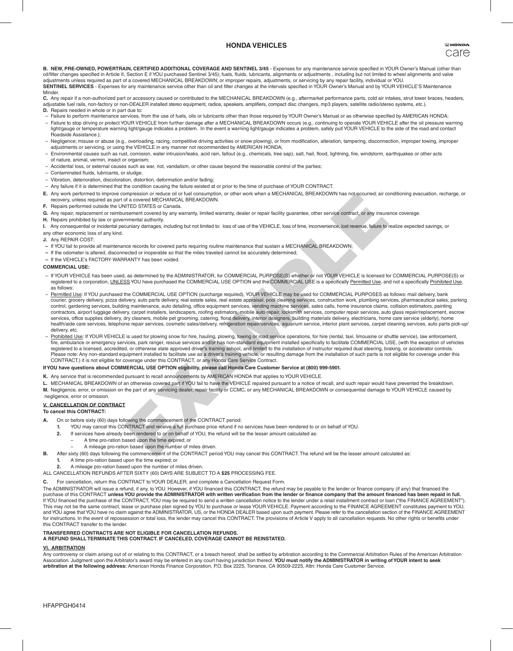# **HONDA VEHICLES**

**B. NEW, PRE-OWNED, POWERTRAIN, CERTIFIED ADDITIONAL COVERAGE AND SENTINEL 3/45** - Expenses for any maintenance service specified in YOUR Owner's Manual (other than<br>oil/filter changes specified in Article II, Section E if adjustments unless required as part of a covered MECHANICAL BREAKDOWN; or improper repairs, adjustments, or servicing by any repair facility, individual or YOU. **SENTINEL SERVICES** - Expenses for any maintenance service other than oil and filter changes at the intervals specified in YOUR Owner's Manual and by YOUR VEHICLE'S Maintenance **Minder** 

C. Any repair if a non-authorized part or accessory caused or contributed to the MECHANICAL BREAKDOWN (e.g., aftermarket performance parts, cold air intakes, strut tower braces, headers,<br>adjustable fuel rails, non-factory **D.** Repairs needed in whole or in part due to:

- Failure to perform maintenance services, from the use of fuels, oils or lubricants other than those required by YOUR Owner's Manual or as otherwise specified by AMERICAN HONDA;
- Failure to stop driving or protect YOUR VEHICLE from further damage after a MECHANICAL BREAKDOWN occurs (e.g., continuing to operate YOUR VEHICLE after the oil pressure warning light/gauge or temperature warning light/gauge indicates a problem. In the event a warning light/gauge indicates a problem, safely pull YOUR VEHICLE to the side of the road and contact Roadside Assistance.);
- Negligence; misuse or abuse (e.g., overloading, racing, competitive driving activities or snow plowing), or from modification, alteration, tampering, disconnection, improper towing, improper adjustments or servicing, or using the VEHICLE in any manner not recommended by AMERICAN HONDA;
- Environmental causes such as rust, corrosion, water intrusion/leaks, acid rain, fallout (e.g., chemicals, tree sap), salt, hail, flood, lightning, fire, windstorm, earthquakes or other acts of nature, animal, vermin, insect or organism;
- Accidental loss, or external causes such as war, riot, vandalism, or other cause beyond the reasonable control of the parties;
- Contaminated fluids, lubricants, or sludge;
- Vibration, deterioration, discoloration, distortion, deformation and/or fading;
- Any failure if it is determined that the condition causing the failure existed at or prior to the time of purchase of YOUR CONTRACT.
- **E.** Any work performed to improve compression or reduce oil or fuel consumption, or other work when a MECHANICAL BREAKDOWN has not occurred; air conditioning evacuation, recharge, or recovery, unless required as part of a covered MECHANICAL BREAKDOWN.
- **F.** Repairs performed outside the UNITED STATES or Canada.
- **G.** Any repair, replacement or reimbursement covered by any warranty, limited warranty, dealer or repair facility guarantee, other service contract, or any insurance coverage.
- **H.** Repairs prohibited by law or governmental authority.
- **I.** Any consequential or incidental pecuniary damages, including but not limited to: loss of use of the VEHICLE, loss of time, inconvenience, lost revenue, failure to realize expected savings, or any other economic loss of any kind.
- **J.** Any REPAIR COST:
- **–** If YOU fail to provide all maintenance records for covered parts requiring routine maintenance that sustain a MECHANICAL BREAKDOWN;
- **–** If the odometer is altered, disconnected or inoperable so that the miles traveled cannot be accurately determined;
- **–** If the VEHICLE's FACTORY WARRANTY has been voided.

## **COMMERCIAL USE:**

- If YOUR VEHICLE has been used, as determined by the ADMINISTRATOR, for COMMERCIAL PURPOSE(S) whether or not YOUR VEHICLE is licensed for COMMERCIAL PURPOSE(S) or registered to a corporation, UNLESS YOU have purchased the COMMERCIAL USE OPTION and the COMMERCIAL USE is a specifically Permitted Use, and not a specifically Prohibited Use, as follows:
- mpression or reduce oil of the consumption, or other work when a MECHANICAL BREAKDOWN has not occurred; air corrects of the VEHANICAL BREAKDOWN.<br>THEO STRES or Carvatsi.<br>
The coverage and the consumpty, limited varianty, de – Permitted Use: If YOU purchased the COMMERCIAL USE OPTION (surcharge required), YOUR VEHICLE may be used for COMMERCIAL PURPOSES as follows: mail delivery, bank courier, grocery delivery, pizza delivery, auto parts delivery, real estate sales, real estate appraisal, pool cleaning services, construction work, plumbing services, pharmaceutical sales, parking<br>control, gardening servi contractors, airport luggage delivery, carpet installers, landscapers, roofing estimators, mobile auto repair, locksmith services, computer repair services, auto glass repair/replacement, escro services, office supplies delivery, dry cleaners, mobile pet grooming, catering, floral delivery, interior designers, building materials delivery, electricians, home care service (elderly), home health/aide care services, telephone repair services, cosmetic sales/delivery, refrigeration repair/services, aquarium service, interior plant services, carpet cleaning services, auto parts pick-up/ delivery, etc.
- Prohibited Use: If YOUR VEHICLE is used for plowing snow for hire, hauling, plowing, towing or road service operations, for hire (rental, taxi, limousine or shuttle service), law enforcement, fire, ambulance or emergency services, park ranger, rescue services and/or has non-standard equipment installed specifically to facilitate COMMERCIAL USE, (with the exception of vehicles registered to a licensed, accredited, or otherwise state approved driver's training school, and limited to the installation of instructor required dual steering, braking, or accelerator controls.<br>Please note: Any non-stand

## **If YOU have questions about COMMERCIAL USE OPTION eligibility, please call Honda Care Customer Service at (800) 999-5901.**

- **K.** Any service that is recommended pursuant to recall announcements by AMERICAN HONDA that applies to YOUR VEHICLE.
- **L.** MECHANICAL BREAKDOWN of an otherwise covered part if YOU fail to have the VEHICLE repaired pursuant to a notice of recall, and such repair would have prevented the breakdown.
- **M.** Negligence, error, or omission on the part of any servicing dealer, repair facility or CCMC, or any MECHANICAL BREAKDOWN or consequential damage to YOUR VEHICLE caused by negligence, error or omission.

# **V. CANCELLATION OF CONTRACT**

### **To cancel this CONTRACT:**

- **A.** On or before sixty (60) days following the commencement of the CONTRACT period:
	- **1.** YOU may cancel this CONTRACT and receive a full purchase price refund if no services have been rendered to or on behalf of YOU.
	- **2.** If services have already been rendered to or on behalf of YOU, the refund will be the lesser amount calculated as:
		- A time pro-ration based upon the time expired; or
	- A mileage pro-ration based upon the number of miles driven.
- **B.** After sixty (60) days following the commencement of the CONTRACT period YOU may cancel this CONTRACT. The refund will be the lesser amount calculated as:
	- **1.** A time pro-ration based upon the time expired; or
	- **2.** A mileage pro-ration based upon the number of miles driven.
- ALL CANCELLATION REFUNDS AFTER SIXTY (60) DAYS ARE SUBJECT TO A **\$25** PROCESSING FEE.
- 
- For cancellation, return this CONTRACT to YOUR DEALER, and complete a Cancellation Request Form.

The ADMINISTRATOR will issue a refund, if any, to YOU. However, if YOU financed this CONTRACT, the refund may be payable to the lender or finance company (if any) that financed the purchase of this CONTRACT **unless YOU provide the ADMINISTRATOR with written verification from the lender or finance company that the amount financed has been repaid in full.** If YOU financed the purchase of the CONTRACT, YOU may be required to send a written cancellation notice to the lender under a retail installment contract or Ioan ("the FINANCE AGREEMENT").<br>This may not be the same contract and YOU agree that YOU have no claim against the ADMINISTRATOR, US, or the HONDA DEALER based upon such payment. Please refer to the cancellation section of the FINANCE AGREEMENT for instructions. In the event of repossession or total loss, the lender may cancel this CONTRACT. The provisions of Article V apply to all cancellation requests. No other rights or benefits under this CONTRACT transfer to the lender.

# **TRANSFERRED CONTRACTS ARE NOT ELIGIBLE FOR CANCELLATION REFUNDS.**

**A REFUND SHALL TERMINATE THIS CONTRACT. IF CANCELED, COVERAGE CANNOT BE REINSTATED.**

# **VI. ARBITRATION**

Any controversy or claim arising out of or relating to this CONTRACT, or a breach hereof, shall be settled by arbitration according to the Commercial Arbitration Rules of the American Arbitration<br>Association. Judgment upon **arbitration at the following address:** American Honda Finance Corporation, P.O. Box 2225, Torrance, CA 90509-2225, Attn: Honda Care Customer Service.